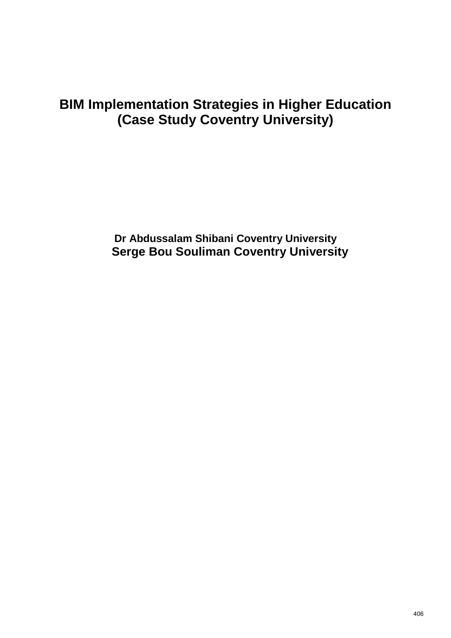# **BIM Implementation Strategies in Higher Education (Case Study Coventry University)**

**Dr Abdussalam Shibani Coventry University Serge Bou Souliman Coventry University**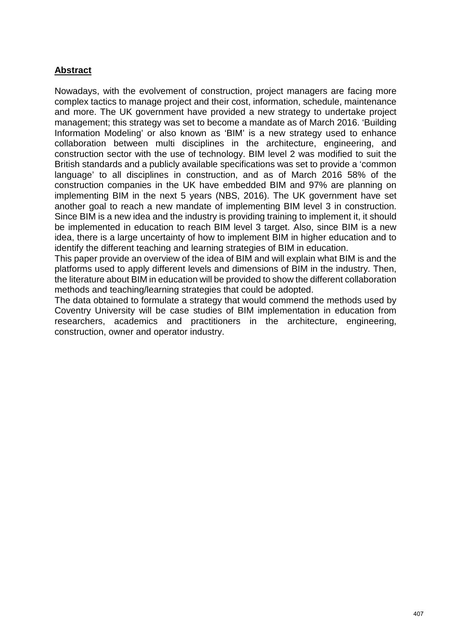# **Abstract**

Nowadays, with the evolvement of construction, project managers are facing more complex tactics to manage project and their cost, information, schedule, maintenance and more. The UK government have provided a new strategy to undertake project management; this strategy was set to become a mandate as of March 2016. 'Building Information Modeling' or also known as 'BIM' is a new strategy used to enhance collaboration between multi disciplines in the architecture, engineering, and construction sector with the use of technology. BIM level 2 was modified to suit the British standards and a publicly available specifications was set to provide a 'common language' to all disciplines in construction, and as of March 2016 58% of the construction companies in the UK have embedded BIM and 97% are planning on implementing BIM in the next 5 years (NBS, 2016). The UK government have set another goal to reach a new mandate of implementing BIM level 3 in construction. Since BIM is a new idea and the industry is providing training to implement it, it should be implemented in education to reach BIM level 3 target. Also, since BIM is a new idea, there is a large uncertainty of how to implement BIM in higher education and to identify the different teaching and learning strategies of BIM in education.

This paper provide an overview of the idea of BIM and will explain what BIM is and the platforms used to apply different levels and dimensions of BIM in the industry. Then, the literature about BIM in education will be provided to show the different collaboration methods and teaching/learning strategies that could be adopted.

The data obtained to formulate a strategy that would commend the methods used by Coventry University will be case studies of BIM implementation in education from researchers, academics and practitioners in the architecture, engineering, construction, owner and operator industry.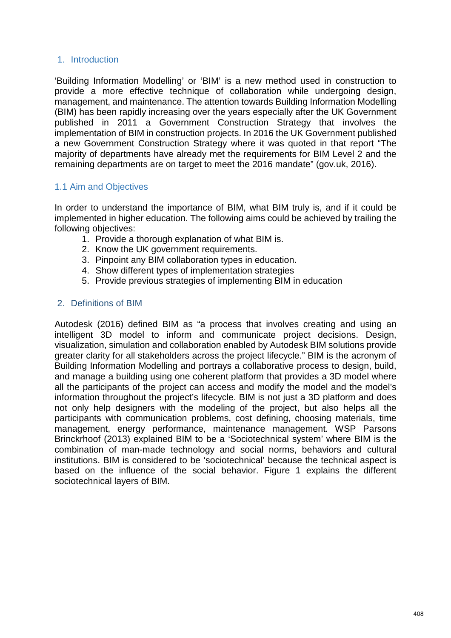#### 1. Introduction

'Building Information Modelling' or 'BIM' is a new method used in construction to provide a more effective technique of collaboration while undergoing design, management, and maintenance. The attention towards Building Information Modelling (BIM) has been rapidly increasing over the years especially after the UK Government published in 2011 a Government Construction Strategy that involves the implementation of BIM in construction projects. In 2016 the UK Government published a new Government Construction Strategy where it was quoted in that report "The majority of departments have already met the requirements for BIM Level 2 and the remaining departments are on target to meet the 2016 mandate" (gov.uk, 2016).

#### 1.1 Aim and Objectives

In order to understand the importance of BIM, what BIM truly is, and if it could be implemented in higher education. The following aims could be achieved by trailing the following objectives:

- 1. Provide a thorough explanation of what BIM is.
- 2. Know the UK government requirements.
- 3. Pinpoint any BIM collaboration types in education.
- 4. Show different types of implementation strategies
- 5. Provide previous strategies of implementing BIM in education

#### 2. Definitions of BIM

Autodesk (2016) defined BIM as "a process that involves creating and using an intelligent 3D model to inform and communicate project decisions. Design, visualization, simulation and collaboration enabled by Autodesk BIM solutions provide greater clarity for all stakeholders across the project lifecycle." BIM is the acronym of Building Information Modelling and portrays a collaborative process to design, build, and manage a building using one coherent platform that provides a 3D model where all the participants of the project can access and modify the model and the model's information throughout the project's lifecycle. BIM is not just a 3D platform and does not only help designers with the modeling of the project, but also helps all the participants with communication problems, cost defining, choosing materials, time management, energy performance, maintenance management. WSP Parsons Brinckrhoof (2013) explained BIM to be a 'Sociotechnical system' where BIM is the combination of man-made technology and social norms, behaviors and cultural institutions. BIM is considered to be 'sociotechnical' because the technical aspect is based on the influence of the social behavior. Figure 1 explains the different sociotechnical layers of BIM.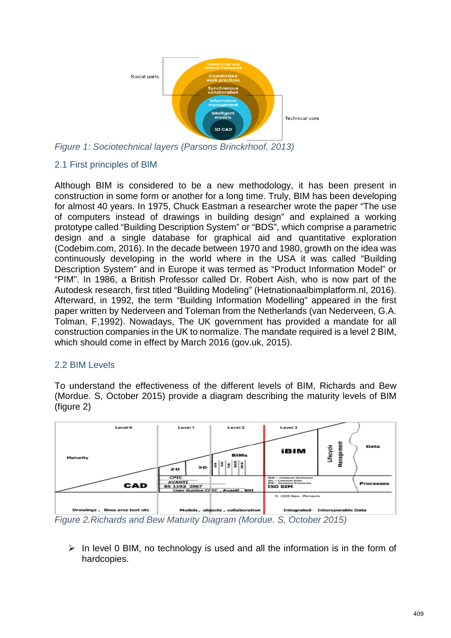

*Figure 1: Sociotechnical layers (Parsons Brinckrhoof, 2013)*

# 2.1 First principles of BIM

Although BIM is considered to be a new methodology, it has been present in construction in some form or another for a long time. Truly, BIM has been developing for almost 40 years. In 1975, Chuck Eastman a researcher wrote the paper "The use of computers instead of drawings in building design" and explained a working prototype called "Building Description System" or "BDS", which comprise a parametric design and a single database for graphical aid and quantitative exploration (Codebim.com, 2016). In the decade between 1970 and 1980, growth on the idea was continuously developing in the world where in the USA it was called "Building Description System" and in Europe it was termed as "Product Information Model" or "PIM". In 1986, a British Professor called Dr. Robert Aish, who is now part of the Autodesk research, first titled "Building Modeling" (Hetnationaalbimplatform.nl, 2016). Afterward, in 1992, the term "Building Information Modelling" appeared in the first paper written by Nederveen and Toleman from the Netherlands (van Nederveen, G.A. Tolman, F,1992). Nowadays, The UK government has provided a mandate for all construction companies in the UK to normalize. The mandate required is a level 2 BIM, which should come in effect by March 2016 (gov.uk, 2015).

## 2.2 BIM Levels

To understand the effectiveness of the different levels of BIM, Richards and Bew (Mordue. S, October 2015) provide a diagram describing the maturity levels of BIM (figure 2)



*Figure 2.Richards and Bew Maturity Diagram (Mordue. S, October 2015)*

 $\triangleright$  In level 0 BIM, no technology is used and all the information is in the form of hardcopies.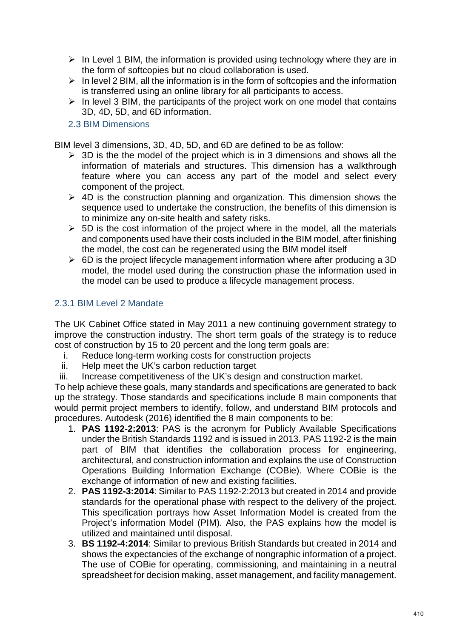- $\triangleright$  In Level 1 BIM, the information is provided using technology where they are in the form of softcopies but no cloud collaboration is used.
- $\triangleright$  In level 2 BIM, all the information is in the form of softcopies and the information is transferred using an online library for all participants to access.
- $\triangleright$  In level 3 BIM, the participants of the project work on one model that contains 3D, 4D, 5D, and 6D information.
- 2.3 BIM Dimensions

BIM level 3 dimensions, 3D, 4D, 5D, and 6D are defined to be as follow:

- $\triangleright$  3D is the the model of the project which is in 3 dimensions and shows all the information of materials and structures. This dimension has a walkthrough feature where you can access any part of the model and select every component of the project.
- $\triangleright$  4D is the construction planning and organization. This dimension shows the sequence used to undertake the construction, the benefits of this dimension is to minimize any on-site health and safety risks.
- $\geq$  5D is the cost information of the project where in the model, all the materials and components used have their costs included in the BIM model, after finishing the model, the cost can be regenerated using the BIM model itself
- $\triangleright$  6D is the project lifecycle management information where after producing a 3D model, the model used during the construction phase the information used in the model can be used to produce a lifecycle management process.

## 2.3.1 BIM Level 2 Mandate

The UK Cabinet Office stated in May 2011 a new continuing government strategy to improve the construction industry. The short term goals of the strategy is to reduce cost of construction by 15 to 20 percent and the long term goals are:

- i. Reduce long-term working costs for construction projects
- ii. Help meet the UK's carbon reduction target
- iii. Increase competitiveness of the UK's design and construction market.

To help achieve these goals, many standards and specifications are generated to back up the strategy. Those standards and specifications include 8 main components that would permit project members to identify, follow, and understand BIM protocols and procedures. Autodesk (2016) identified the 8 main components to be:

- 1. **PAS 1192-2:2013**: PAS is the acronym for Publicly Available Specifications under the British Standards 1192 and is issued in 2013. PAS 1192-2 is the main part of BIM that identifies the collaboration process for engineering, architectural, and construction information and explains the use of Construction Operations Building Information Exchange (COBie). Where COBie is the exchange of information of new and existing facilities.
- 2. **PAS 1192-3:2014**: Similar to PAS 1192-2:2013 but created in 2014 and provide standards for the operational phase with respect to the delivery of the project. This specification portrays how Asset Information Model is created from the Project's information Model (PIM). Also, the PAS explains how the model is utilized and maintained until disposal.
- 3. **BS 1192-4:2014**: Similar to previous British Standards but created in 2014 and shows the expectancies of the exchange of nongraphic information of a project. The use of COBie for operating, commissioning, and maintaining in a neutral spreadsheet for decision making, asset management, and facility management.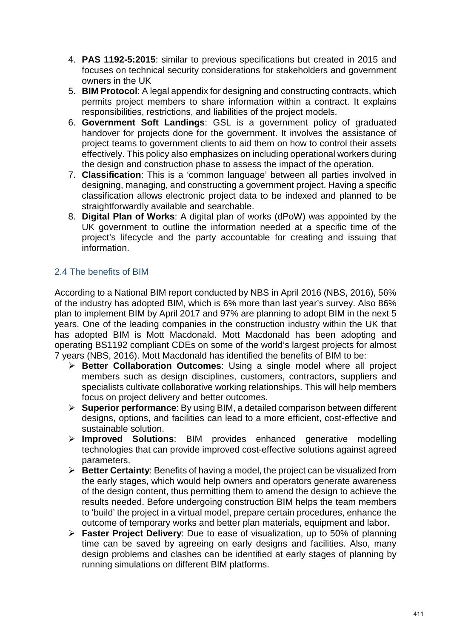- 4. **PAS 1192-5:2015**: similar to previous specifications but created in 2015 and focuses on technical security considerations for stakeholders and government owners in the UK
- 5. **BIM Protocol**: A legal appendix for designing and constructing contracts, which permits project members to share information within a contract. It explains responsibilities, restrictions, and liabilities of the project models.
- 6. **Government Soft Landings**: GSL is a government policy of graduated handover for projects done for the government. It involves the assistance of project teams to government clients to aid them on how to control their assets effectively. This policy also emphasizes on including operational workers during the design and construction phase to assess the impact of the operation.
- 7. **Classification**: This is a 'common language' between all parties involved in designing, managing, and constructing a government project. Having a specific classification allows electronic project data to be indexed and planned to be straightforwardly available and searchable.
- 8. **Digital Plan of Works**: A digital plan of works (dPoW) was appointed by the UK government to outline the information needed at a specific time of the project's lifecycle and the party accountable for creating and issuing that information.

# 2.4 The benefits of BIM

According to a National BIM report conducted by NBS in April 2016 (NBS, 2016), 56% of the industry has adopted BIM, which is 6% more than last year's survey. Also 86% plan to implement BIM by April 2017 and 97% are planning to adopt BIM in the next 5 years. One of the leading companies in the construction industry within the UK that has adopted BIM is Mott Macdonald. Mott Macdonald has been adopting and operating BS1192 compliant CDEs on some of the world's largest projects for almost 7 years (NBS, 2016). Mott Macdonald has identified the benefits of BIM to be:

- **Better Collaboration Outcomes**: Using a single model where all project members such as design disciplines, customers, contractors, suppliers and specialists cultivate collaborative working relationships. This will help members focus on project delivery and better outcomes.
- **Superior performance**: By using BIM, a detailed comparison between different designs, options, and facilities can lead to a more efficient, cost-effective and sustainable solution.
- **Improved Solutions**: BIM provides enhanced generative modelling technologies that can provide improved cost-effective solutions against agreed parameters.
- **Better Certainty**: Benefits of having a model, the project can be visualized from the early stages, which would help owners and operators generate awareness of the design content, thus permitting them to amend the design to achieve the results needed. Before undergoing construction BIM helps the team members to 'build' the project in a virtual model, prepare certain procedures, enhance the outcome of temporary works and better plan materials, equipment and labor.
- **Faster Project Delivery**: Due to ease of visualization, up to 50% of planning time can be saved by agreeing on early designs and facilities. Also, many design problems and clashes can be identified at early stages of planning by running simulations on different BIM platforms.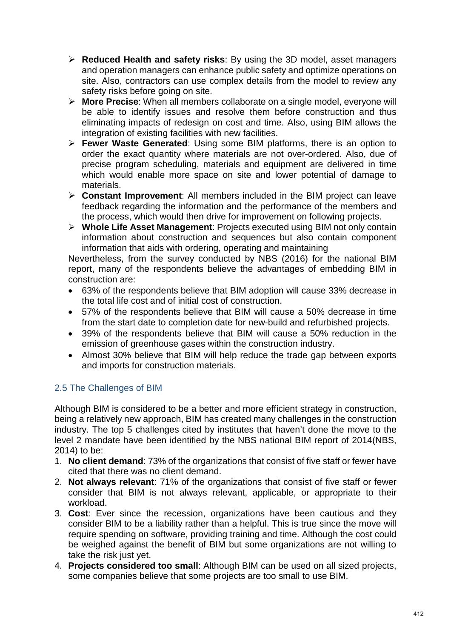- **Reduced Health and safety risks**: By using the 3D model, asset managers and operation managers can enhance public safety and optimize operations on site. Also, contractors can use complex details from the model to review any safety risks before going on site.
- **More Precise**: When all members collaborate on a single model, everyone will be able to identify issues and resolve them before construction and thus eliminating impacts of redesign on cost and time. Also, using BIM allows the integration of existing facilities with new facilities.
- **Fewer Waste Generated**: Using some BIM platforms, there is an option to order the exact quantity where materials are not over-ordered. Also, due of precise program scheduling, materials and equipment are delivered in time which would enable more space on site and lower potential of damage to materials.
- **Constant Improvement**: All members included in the BIM project can leave feedback regarding the information and the performance of the members and the process, which would then drive for improvement on following projects.
- **Whole Life Asset Management**: Projects executed using BIM not only contain information about construction and sequences but also contain component information that aids with ordering, operating and maintaining

Nevertheless, from the survey conducted by NBS (2016) for the national BIM report, many of the respondents believe the advantages of embedding BIM in construction are:

- 63% of the respondents believe that BIM adoption will cause 33% decrease in the total life cost and of initial cost of construction.
- 57% of the respondents believe that BIM will cause a 50% decrease in time from the start date to completion date for new-build and refurbished projects.
- 39% of the respondents believe that BIM will cause a 50% reduction in the emission of greenhouse gases within the construction industry.
- Almost 30% believe that BIM will help reduce the trade gap between exports and imports for construction materials.

# 2.5 The Challenges of BIM

Although BIM is considered to be a better and more efficient strategy in construction, being a relatively new approach, BIM has created many challenges in the construction industry. The top 5 challenges cited by institutes that haven't done the move to the level 2 mandate have been identified by the NBS national BIM report of 2014(NBS, 2014) to be:

- 1. **No client demand**: 73% of the organizations that consist of five staff or fewer have cited that there was no client demand.
- 2. **Not always relevant**: 71% of the organizations that consist of five staff or fewer consider that BIM is not always relevant, applicable, or appropriate to their workload.
- 3. **Cost**: Ever since the recession, organizations have been cautious and they consider BIM to be a liability rather than a helpful. This is true since the move will require spending on software, providing training and time. Although the cost could be weighed against the benefit of BIM but some organizations are not willing to take the risk just yet.
- 4. **Projects considered too small**: Although BIM can be used on all sized projects, some companies believe that some projects are too small to use BIM.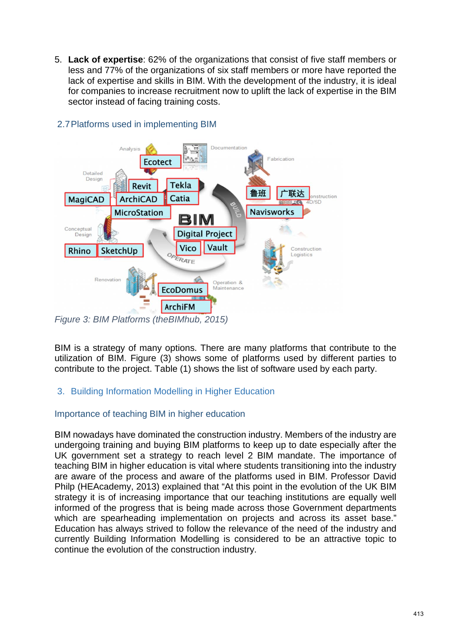5. **Lack of expertise**: 62% of the organizations that consist of five staff members or less and 77% of the organizations of six staff members or more have reported the lack of expertise and skills in BIM. With the development of the industry, it is ideal for companies to increase recruitment now to uplift the lack of expertise in the BIM sector instead of facing training costs.



# 2.7Platforms used in implementing BIM

BIM is a strategy of many options. There are many platforms that contribute to the utilization of BIM. Figure (3) shows some of platforms used by different parties to contribute to the project. Table (1) shows the list of software used by each party.

# 3. Building Information Modelling in Higher Education

## Importance of teaching BIM in higher education

BIM nowadays have dominated the construction industry. Members of the industry are undergoing training and buying BIM platforms to keep up to date especially after the UK government set a strategy to reach level 2 BIM mandate. The importance of teaching BIM in higher education is vital where students transitioning into the industry are aware of the process and aware of the platforms used in BIM. Professor David Philp (HEAcademy, 2013) explained that "At this point in the evolution of the UK BIM strategy it is of increasing importance that our teaching institutions are equally well informed of the progress that is being made across those Government departments which are spearheading implementation on projects and across its asset base." Education has always strived to follow the relevance of the need of the industry and currently Building Information Modelling is considered to be an attractive topic to continue the evolution of the construction industry.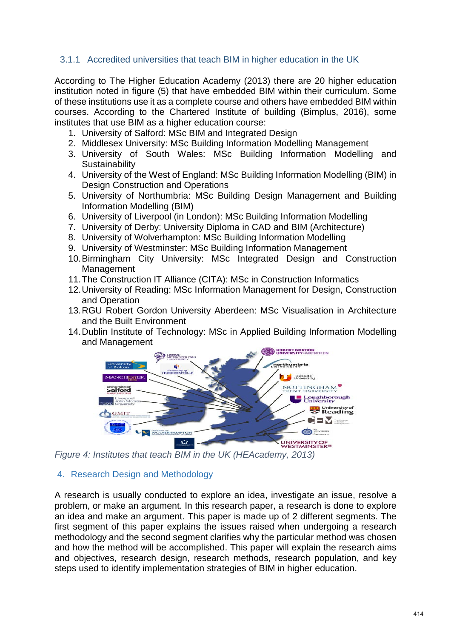## 3.1.1 Accredited universities that teach BIM in higher education in the UK

According to The Higher Education Academy (2013) there are 20 higher education institution noted in figure (5) that have embedded BIM within their curriculum. Some of these institutions use it as a complete course and others have embedded BIM within courses. According to the Chartered Institute of building (Bimplus, 2016), some institutes that use BIM as a higher education course:

- 1. University of Salford: MSc BIM and Integrated Design
- 2. Middlesex University: MSc Building Information Modelling Management
- 3. University of South Wales: MSc Building Information Modelling and **Sustainability**
- 4. University of the West of England: MSc Building Information Modelling (BIM) in Design Construction and Operations
- 5. University of Northumbria: MSc Building Design Management and Building Information Modelling (BIM)
- 6. University of Liverpool (in London): MSc Building Information Modelling
- 7. University of Derby: University Diploma in CAD and BIM (Architecture)
- 8. University of Wolverhampton: MSc Building Information Modelling
- 9. University of Westminster: MSc Building Information Management
- 10.Birmingham City University: MSc Integrated Design and Construction Management
- 11.The Construction IT Alliance (CITA): MSc in Construction Informatics
- 12.University of Reading: MSc Information Management for Design, Construction and Operation
- 13.RGU Robert Gordon University Aberdeen: MSc Visualisation in Architecture and the Built Environment
- 14.Dublin Institute of Technology: MSc in Applied Building Information Modelling and Management



*Figure 4: Institutes that teach BIM in the UK (HEAcademy, 2013)*

## 4. Research Design and Methodology

A research is usually conducted to explore an idea, investigate an issue, resolve a problem, or make an argument. In this research paper, a research is done to explore an idea and make an argument. This paper is made up of 2 different segments. The first segment of this paper explains the issues raised when undergoing a research methodology and the second segment clarifies why the particular method was chosen and how the method will be accomplished. This paper will explain the research aims and objectives, research design, research methods, research population, and key steps used to identify implementation strategies of BIM in higher education.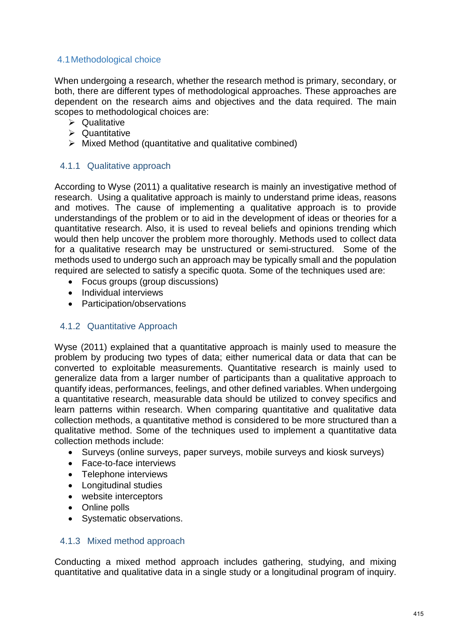# 4.1Methodological choice

When undergoing a research, whether the research method is primary, secondary, or both, there are different types of methodological approaches. These approaches are dependent on the research aims and objectives and the data required. The main scopes to methodological choices are:

- $\triangleright$  Qualitative
- $\triangleright$  Quantitative
- $\triangleright$  Mixed Method (quantitative and qualitative combined)

## 4.1.1 Qualitative approach

According to Wyse (2011) a qualitative research is mainly an investigative method of research. Using a qualitative approach is mainly to understand prime ideas, reasons and motives. The cause of implementing a qualitative approach is to provide understandings of the problem or to aid in the development of ideas or theories for a quantitative research. Also, it is used to reveal beliefs and opinions trending which would then help uncover the problem more thoroughly. Methods used to collect data for a qualitative research may be unstructured or semi-structured. Some of the methods used to undergo such an approach may be typically small and the population required are selected to satisfy a specific quota. Some of the techniques used are:

- Focus groups (group discussions)
- Individual interviews
- Participation/observations

## 4.1.2 Quantitative Approach

Wyse (2011) explained that a quantitative approach is mainly used to measure the problem by producing two types of data; either numerical data or data that can be converted to exploitable measurements. Quantitative research is mainly used to generalize data from a larger number of participants than a qualitative approach to quantify ideas, performances, feelings, and other defined variables. When undergoing a quantitative research, measurable data should be utilized to convey specifics and learn patterns within research. When comparing quantitative and qualitative data collection methods, a quantitative method is considered to be more structured than a qualitative method. Some of the techniques used to implement a quantitative data collection methods include:

- Surveys (online surveys, paper surveys, mobile surveys and kiosk surveys)
- Face-to-face interviews
- Telephone interviews
- Longitudinal studies
- website interceptors
- Online polls
- Systematic observations.

#### 4.1.3 Mixed method approach

Conducting a mixed method approach includes gathering, studying, and mixing quantitative and qualitative data in a single study or a longitudinal program of inquiry.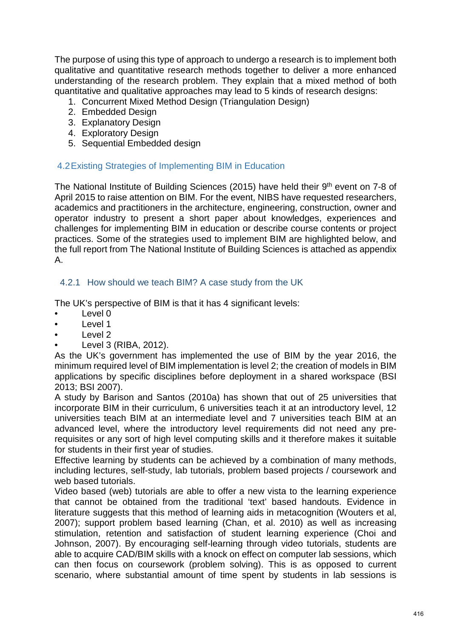The purpose of using this type of approach to undergo a research is to implement both qualitative and quantitative research methods together to deliver a more enhanced understanding of the research problem. They explain that a mixed method of both quantitative and qualitative approaches may lead to 5 kinds of research designs:

- 1. Concurrent Mixed Method Design (Triangulation Design)
- 2. Embedded Design
- 3. Explanatory Design
- 4. Exploratory Design
- 5. Sequential Embedded design

#### 4.2Existing Strategies of Implementing BIM in Education

The National Institute of Building Sciences (2015) have held their 9<sup>th</sup> event on 7-8 of April 2015 to raise attention on BIM. For the event, NIBS have requested researchers, academics and practitioners in the architecture, engineering, construction, owner and operator industry to present a short paper about knowledges, experiences and challenges for implementing BIM in education or describe course contents or project practices. Some of the strategies used to implement BIM are highlighted below, and the full report from The National Institute of Building Sciences is attached as appendix A.

#### 4.2.1 How should we teach BIM? A case study from the UK

The UK's perspective of BIM is that it has 4 significant levels:

- Level 0
- Level 1
- Level 2
- Level 3 (RIBA, 2012).

As the UK's government has implemented the use of BIM by the year 2016, the minimum required level of BIM implementation is level 2; the creation of models in BIM applications by specific disciplines before deployment in a shared workspace (BSI 2013; BSI 2007).

A study by Barison and Santos (2010a) has shown that out of 25 universities that incorporate BIM in their curriculum, 6 universities teach it at an introductory level, 12 universities teach BIM at an intermediate level and 7 universities teach BIM at an advanced level, where the introductory level requirements did not need any prerequisites or any sort of high level computing skills and it therefore makes it suitable for students in their first year of studies.

Effective learning by students can be achieved by a combination of many methods, including lectures, self-study, lab tutorials, problem based projects / coursework and web based tutorials.

Video based (web) tutorials are able to offer a new vista to the learning experience that cannot be obtained from the traditional 'text' based handouts. Evidence in literature suggests that this method of learning aids in metacognition (Wouters et al, 2007); support problem based learning (Chan, et al. 2010) as well as increasing stimulation, retention and satisfaction of student learning experience (Choi and Johnson, 2007). By encouraging self-learning through video tutorials, students are able to acquire CAD/BIM skills with a knock on effect on computer lab sessions, which can then focus on coursework (problem solving). This is as opposed to current scenario, where substantial amount of time spent by students in lab sessions is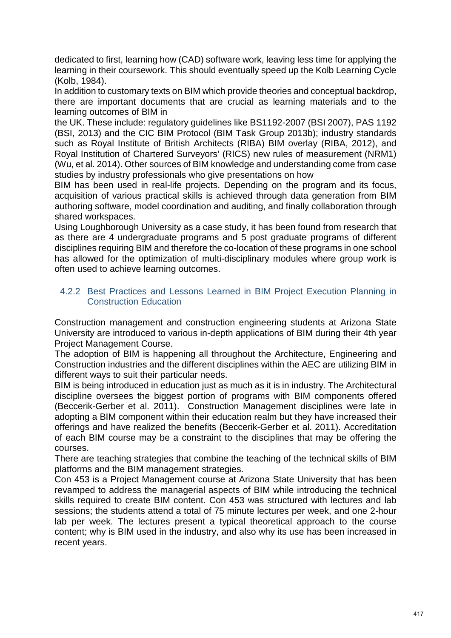dedicated to first, learning how (CAD) software work, leaving less time for applying the learning in their coursework. This should eventually speed up the Kolb Learning Cycle (Kolb, 1984).

In addition to customary texts on BIM which provide theories and conceptual backdrop, there are important documents that are crucial as learning materials and to the learning outcomes of BIM in

the UK. These include: regulatory guidelines like BS1192-2007 (BSI 2007), PAS 1192 (BSI, 2013) and the CIC BIM Protocol (BIM Task Group 2013b); industry standards such as Royal Institute of British Architects (RIBA) BIM overlay (RIBA, 2012), and Royal Institution of Chartered Surveyors' (RICS) new rules of measurement (NRM1) (Wu, et al. 2014). Other sources of BIM knowledge and understanding come from case studies by industry professionals who give presentations on how

BIM has been used in real-life projects. Depending on the program and its focus, acquisition of various practical skills is achieved through data generation from BIM authoring software, model coordination and auditing, and finally collaboration through shared workspaces.

Using Loughborough University as a case study, it has been found from research that as there are 4 undergraduate programs and 5 post graduate programs of different disciplines requiring BIM and therefore the co-location of these programs in one school has allowed for the optimization of multi-disciplinary modules where group work is often used to achieve learning outcomes.

#### 4.2.2 Best Practices and Lessons Learned in BIM Project Execution Planning in Construction Education

Construction management and construction engineering students at Arizona State University are introduced to various in-depth applications of BIM during their 4th year Project Management Course.

The adoption of BIM is happening all throughout the Architecture, Engineering and Construction industries and the different disciplines within the AEC are utilizing BIM in different ways to suit their particular needs.

BIM is being introduced in education just as much as it is in industry. The Architectural discipline oversees the biggest portion of programs with BIM components offered (Beccerik-Gerber et al. 2011). Construction Management disciplines were late in adopting a BIM component within their education realm but they have increased their offerings and have realized the benefits (Beccerik-Gerber et al. 2011). Accreditation of each BIM course may be a constraint to the disciplines that may be offering the courses.

There are teaching strategies that combine the teaching of the technical skills of BIM platforms and the BIM management strategies.

Con 453 is a Project Management course at Arizona State University that has been revamped to address the managerial aspects of BIM while introducing the technical skills required to create BIM content. Con 453 was structured with lectures and lab sessions; the students attend a total of 75 minute lectures per week, and one 2-hour lab per week. The lectures present a typical theoretical approach to the course content; why is BIM used in the industry, and also why its use has been increased in recent years.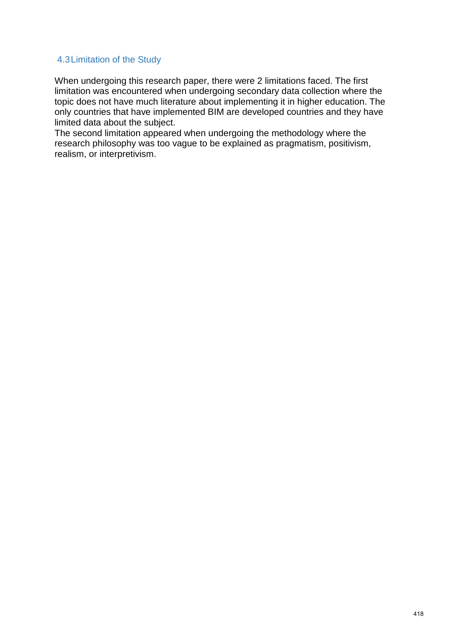#### 4.3Limitation of the Study

When undergoing this research paper, there were 2 limitations faced. The first limitation was encountered when undergoing secondary data collection where the topic does not have much literature about implementing it in higher education. The only countries that have implemented BIM are developed countries and they have limited data about the subject.

The second limitation appeared when undergoing the methodology where the research philosophy was too vague to be explained as pragmatism, positivism, realism, or interpretivism.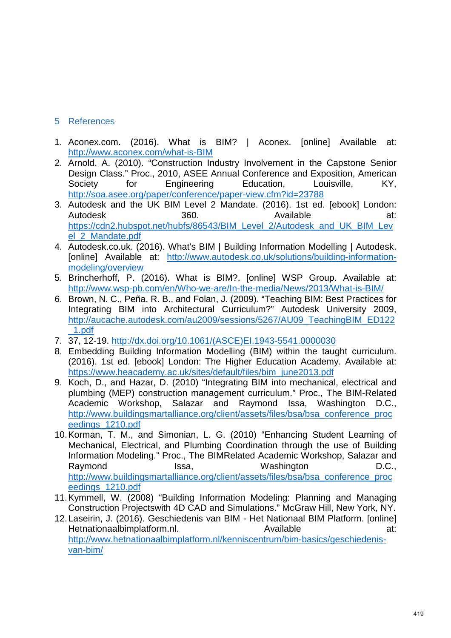# 5 References

- 1. Aconex.com. (2016). What is BIM? | Aconex. [online] Available at: <http://www.aconex.com/what-is-BIM>
- 2. Arnold. A. (2010). "Construction Industry Involvement in the Capstone Senior Design Class." Proc., 2010, ASEE Annual Conference and Exposition, American<br>Society 6 for Engineering Education. Louisville. KY. Society for Engineering Education, Louisville, KY, <http://soa.asee.org/paper/conference/paper-view.cfm?id=23788>
- 3. Autodesk and the UK BIM Level 2 Mandate. (2016). 1st ed. [ebook] London:<br>Autodesk 360 Available at: Autodesk 360. Available at: [https://cdn2.hubspot.net/hubfs/86543/BIM\\_Level\\_2/Autodesk\\_and\\_UK\\_BIM\\_Lev](https://cdn2.hubspot.net/hubfs/86543/BIM_Level_2/Autodesk_and_UK_BIM_Level_2_Mandate.pdf) [el\\_2\\_Mandate.pdf](https://cdn2.hubspot.net/hubfs/86543/BIM_Level_2/Autodesk_and_UK_BIM_Level_2_Mandate.pdf)
- 4. Autodesk.co.uk. (2016). What's BIM | Building Information Modelling | Autodesk. [online] Available at: [http://www.autodesk.co.uk/solutions/building-information](http://www.autodesk.co.uk/solutions/building-information-modeling/overview)[modeling/overview](http://www.autodesk.co.uk/solutions/building-information-modeling/overview)
- 5. Brincherhoff, P. (2016). What is BIM?. [online] WSP Group. Available at: <http://www.wsp-pb.com/en/Who-we-are/In-the-media/News/2013/What-is-BIM/>
- 6. Brown, N. C., Peña, R. B., and Folan, J. (2009). "Teaching BIM: Best Practices for Integrating BIM into Architectural Curriculum?" Autodesk University 2009, [http://aucache.autodesk.com/au2009/sessions/5267/AU09\\_TeachingBIM\\_ED122](http://aucache.autodesk.com/au2009/sessions/5267/AU09_TeachingBIM_ED122_1.pdf) [\\_1.pdf](http://aucache.autodesk.com/au2009/sessions/5267/AU09_TeachingBIM_ED122_1.pdf)
- 7. 37, 12-19. [http://dx.doi.org/10.1061/\(ASCE\)EI.1943-5541.0000030](http://dx.doi.org/10.1061/(ASCE)EI.1943-5541.0000030)
- 8. Embedding Building Information Modelling (BIM) within the taught curriculum. (2016). 1st ed. [ebook] London: The Higher Education Academy. Available at: [https://www.heacademy.ac.uk/sites/default/files/bim\\_june2013.pdf](https://www.heacademy.ac.uk/sites/default/files/bim_june2013.pdf)
- 9. Koch, D., and Hazar, D. (2010) "Integrating BIM into mechanical, electrical and plumbing (MEP) construction management curriculum." Proc., The BIM-Related Academic Workshop, Salazar and Raymond Issa, Washington D.C., [http://www.buildingsmartalliance.org/client/assets/files/bsa/bsa\\_conference\\_proc](http://www.buildingsmartalliance.org/client/assets/files/bsa/bsa_conference_proceedings_1210.pdf) [eedings\\_1210.pdf](http://www.buildingsmartalliance.org/client/assets/files/bsa/bsa_conference_proceedings_1210.pdf)
- 10.Korman, T. M., and Simonian, L. G. (2010) "Enhancing Student Learning of Mechanical, Electrical, and Plumbing Coordination through the use of Building Information Modeling." Proc., The BIMRelated Academic Workshop, Salazar and Raymond Issa, Washington D.C., [http://www.buildingsmartalliance.org/client/assets/files/bsa/bsa\\_conference\\_proc](http://www.buildingsmartalliance.org/client/assets/files/bsa/bsa_conference_proceedings_1210.pdf) [eedings\\_1210.pdf](http://www.buildingsmartalliance.org/client/assets/files/bsa/bsa_conference_proceedings_1210.pdf)
- 11.Kymmell, W. (2008) "Building Information Modeling: Planning and Managing Construction Projectswith 4D CAD and Simulations." McGraw Hill, New York, NY.
- 12.Laseirin, J. (2016). Geschiedenis van BIM Het Nationaal BIM Platform. [online] Hetnationaalbimplatform.nl. **Available** Available at: [http://www.hetnationaalbimplatform.nl/kenniscentrum/bim-basics/geschiedenis](http://www.hetnationaalbimplatform.nl/kenniscentrum/bim-basics/geschiedenis-van-bim/)[van-bim/](http://www.hetnationaalbimplatform.nl/kenniscentrum/bim-basics/geschiedenis-van-bim/)